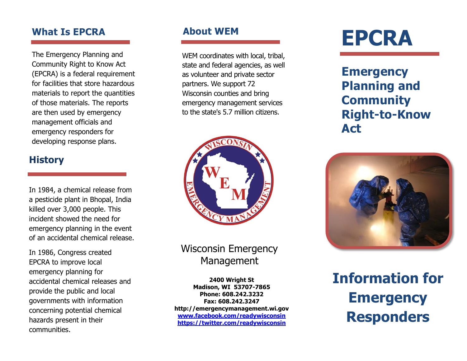## **What Is EPCRA**

The Emergency Planning and Community Right to Know Act (EPCRA) is a federal requirement for facilities that store hazardous materials to report the quantities of those materials. The reports are then used by emergency management officials and emergency responders for developing response plans.

## **History**

In 1984, a chemical release from a pesticide plant in Bhopal, India killed over 3,000 people. This incident showed the need for emergency planning in the event of an accidental chemical release.

In 1986, Congress created EPCRA to improve local emergency planning for accidental chemical releases and provide the public and local governments with information concerning potential chemical hazards present in their communities.

WEM coordinates with local, tribal, state and federal agencies, as well as volunteer and private sector partners. We support 72 Wisconsin counties and bring emergency management services to the state's 5.7 million citizens.



# Wisconsin Emergency Management

**2400 Wright St Madison, WI 53707-7865 Phone: 608.242.3232 Fax: 608.242.3247 http://emergencymanagement.wi.gov [www.facebook.com/readywisconsin](http://www.facebook.com/readywisconsin) <https://twitter.com/readywisconsin>**

# **About WEM EPCRA**

**Emergency Planning and Community Right-to-Know Act**



**Information for Emergency Responders**